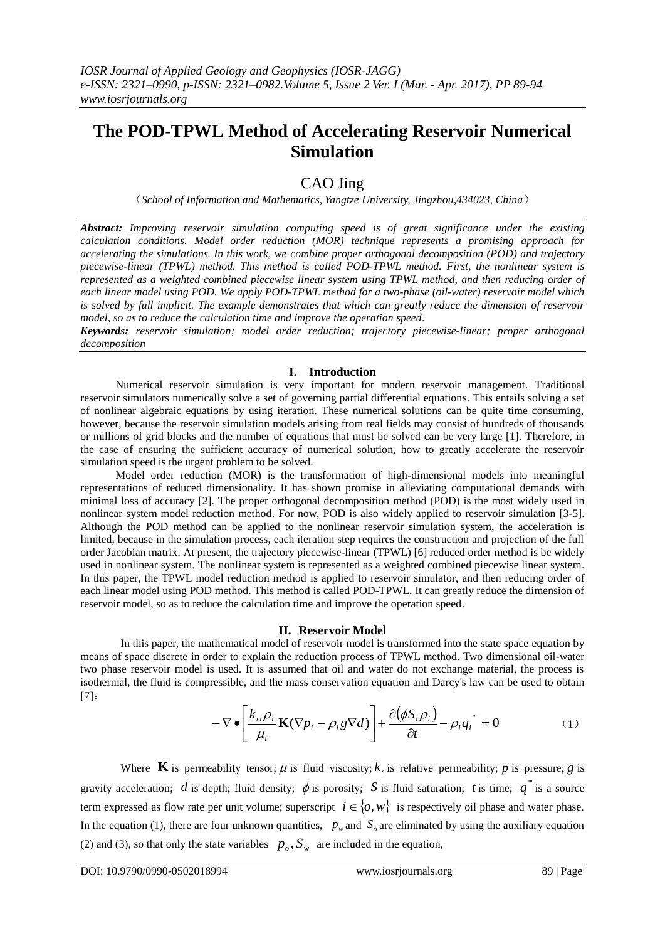# **The POD-TPWL Method of Accelerating Reservoir Numerical Simulation**

# CAO Jing

(*School of Information and Mathematics, Yangtze University, Jingzhou,434023, China*)

*Abstract: Improving reservoir simulation computing speed is of great significance under the existing calculation conditions. Model order reduction (MOR) technique represents a promising approach for accelerating the simulations. In this work, we combine proper orthogonal decomposition (POD) and trajectory piecewise-linear (TPWL) method. This method is called POD-TPWL method. First, the nonlinear system is represented as a weighted combined piecewise linear system using TPWL method, and then reducing order of each linear model using POD. We apply POD-TPWL method for a two-phase (oil-water) reservoir model which is solved by full implicit. The example demonstrates that which can greatly reduce the dimension of reservoir model, so as to reduce the calculation time and improve the operation speed.*

*Keywords: reservoir simulation; model order reduction; trajectory piecewise-linear; proper orthogonal decomposition*

# **I. Introduction**

Numerical reservoir simulation is very important for modern reservoir management. Traditional reservoir simulators numerically solve a set of governing partial differential equations. This entails solving a set of nonlinear algebraic equations by using iteration. These numerical solutions can be quite time consuming, however, because the reservoir simulation models arising from real fields may consist of hundreds of thousands or millions of grid blocks and the number of equations that must be solved can be very large [1]. Therefore, in the case of ensuring the sufficient accuracy of numerical solution, how to greatly accelerate the reservoir simulation speed is the urgent problem to be solved.

Model order reduction (MOR) is the transformation of high-dimensional models into meaningful representations of reduced dimensionality. It has shown promise in alleviating computational demands with minimal loss of accuracy [2]. The proper orthogonal decomposition method (POD) is the most widely used in nonlinear system model reduction method. For now, POD is also widely applied to reservoir simulation [3-5]. Although the POD method can be applied to the nonlinear reservoir simulation system, the acceleration is limited, because in the simulation process, each iteration step requires the construction and projection of the full order Jacobian matrix. At present, the trajectory piecewise-linear (TPWL) [6] reduced order method is be widely used in nonlinear system. The nonlinear system is represented as a weighted combined piecewise linear system. In this paper, the TPWL model reduction method is applied to reservoir simulator, and then reducing order of each linear model using POD method. This method is called POD-TPWL. It can greatly reduce the dimension of reservoir model, so as to reduce the calculation time and improve the operation speed.

## **II. Reservoir Model**

In this paper, the mathematical model of reservoir model is transformed into the state space equation by means of space discrete in order to explain the reduction process of TPWL method. Two dimensional oil-water two phase reservoir model is used. It is assumed that oil and water do not exchange material, the process is isothermal, the fluid is compressible, and the mass conservation equation and Darcy's law can be used to obtain [7]:

$$
-\nabla \bullet \left[\frac{k_{ri}\rho_i}{\mu_i}\mathbf{K}(\nabla p_i - \rho_i g \nabla d)\right] + \frac{\partial(\phi S_i \rho_i)}{\partial t} - \rho_i q_i^{(0)} = 0 \tag{1}
$$

Where **K** is permeability tensor;  $\mu$  is fluid viscosity;  $k_r$  is relative permeability; p is pressure; g is gravity acceleration; d is depth; fluid density;  $\phi$  is porosity; S is fluid saturation; t is time;  $q^{\prime\prime}$  is a source term expressed as flow rate per unit volume; superscript  $i \in \{0, w\}$  is respectively oil phase and water phase. In the equation (1), there are four unknown quantities,  $p_w$  and  $S_o$  are eliminated by using the auxiliary equation (2) and (3), so that only the state variables  $p_o$ ,  $S_w$  are included in the equation,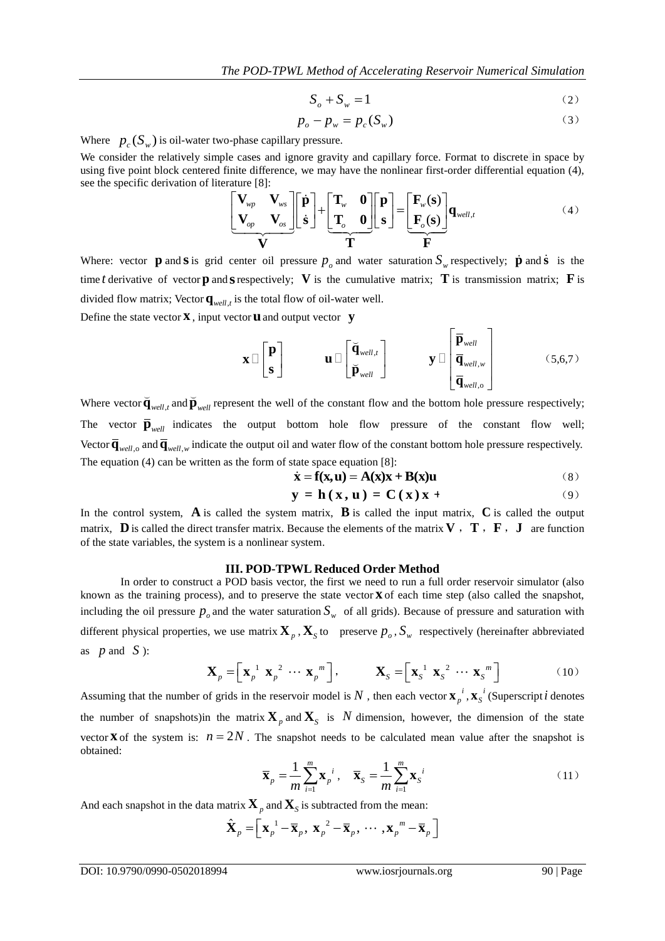$$
S_o + S_w = 1 \tag{2}
$$

$$
p_o - p_w = p_c(S_w)
$$
 (3)

Where  $p_c(S_w)$  is oil-water two-phase capillary pressure.

We consider the relatively simple cases and ignore gravity and capillary force. Format to discrete in space by using five point block centered finite difference, we may have the nonlinear first-order differential equation (4), see the specific derivation of literature [8]:<br>  $\begin{bmatrix}\n\mathbf{V}_{wp} & \mathbf{V}_{ws}\n\end{bmatrix}\begin{bmatrix}\n\dot{\mathbf{p}}\n\end{bmatrix} + \begin$ see the specific derivation of literature [8]:

finite difference, we may have the nonlinear first-order differential equation (4),

\n
$$
\begin{bmatrix}\n\mathbf{V}_{wp} & \mathbf{V}_{ws} \\
\mathbf{V}_{op} & \mathbf{V}_{os}\n\end{bmatrix}\n\begin{bmatrix}\n\dot{\mathbf{p}} \\
\dot{\mathbf{s}}\n\end{bmatrix}\n+\n\begin{bmatrix}\n\mathbf{T}_{w} & \mathbf{0} \\
\mathbf{T}_{o} & \mathbf{0}\n\end{bmatrix}\n\begin{bmatrix}\n\mathbf{p} \\
\mathbf{s}\n\end{bmatrix}\n=\n\begin{bmatrix}\n\mathbf{F}_{w}(\mathbf{s}) \\
\mathbf{F}_{o}(\mathbf{s})\n\end{bmatrix}\n\mathbf{q}_{well,t}
$$
\n(4)

\n
$$
\mathbf{V}
$$

Where: vector **p** and **s** is grid center oil pressure  $p_o$  and water saturation  $S_w$  respectively; **p** and **s** is the time *t* derivative of vector **p** and **s** respectively; V is the cumulative matrix; T is transmission matrix; F is divided flow matrix; Vector  $\mathbf{q}_{well, t}$  is the total flow of oil-water well.

Define the state vector **x** , input vector **u** and output vector **y**

$$
\mathbf{x} \Box \begin{bmatrix} \mathbf{p} \\ \mathbf{s} \end{bmatrix} \qquad \qquad \mathbf{u} \Box \begin{bmatrix} \breve{\mathbf{q}}_{well,t} \\ \breve{\mathbf{p}}_{well} \end{bmatrix} \qquad \qquad \mathbf{y} \Box \begin{bmatrix} \overline{\mathbf{p}}_{well,w} \\ \overline{\mathbf{q}}_{well,w} \\ \overline{\mathbf{q}}_{well,o} \end{bmatrix} \qquad (5,6,7)
$$

Where vector  $\overline{\mathbf{q}}_{well,t}$  and  $\overline{\mathbf{p}}_{well}$  represent the well of the constant flow and the bottom hole pressure respectively; The vector  $\overline{\mathbf{p}}_{well}$  indicates the output bottom hole flow pressure of the constant flow well; Vector  $\overline{\mathbf{q}}_{well,o}$  and  $\overline{\mathbf{q}}_{well,w}$  indicate the output oil and water flow of the constant bottom hole pressure respectively. The equation (4) can be written as the form of state space equation [8]:<br>  $\dot{\mathbf{x}} = \mathbf{f}(\mathbf{x}, \mathbf{u}) = \mathbf{A}(\mathbf{x})\mathbf{x} + \mathbf{B}(\mathbf{x})\mathbf{u}$  (8)

$$
\dot{\mathbf{x}} = \mathbf{f}(\mathbf{x}, \mathbf{u}) = \mathbf{A}(\mathbf{x})\mathbf{x} + \mathbf{B}(\mathbf{x})\mathbf{u}
$$
 (8)

$$
\mathbf{x} = \mathbf{1}(\mathbf{x}, \mathbf{u}) = \mathbf{A}(\mathbf{x})\mathbf{x} + \mathbf{D}(\mathbf{x})\mathbf{u}
$$
  

$$
\mathbf{y} = \mathbf{h}(\mathbf{x}, \mathbf{u}) = \mathbf{C}(\mathbf{x})\mathbf{x} + (9)
$$

In the control system,  $\bf{A}$  is called the system matrix,  $\bf{B}$  is called the input matrix,  $\bf{C}$  is called the output matrix, **D** is called the direct transfer matrix. Because the elements of the matrix **V**, **T**, **F**, **J** are function of the state variables, the system is a nonlinear system.

#### **III. POD-TPWL Reduced Order Method**

In order to construct a POD basis vector, the first we need to run a full order reservoir simulator (also known as the training process), and to preserve the state vector **x** of each time step (also called the snapshot, including the oil pressure  $p_o$  and the water saturation  $S_w$  of all grids). Because of pressure and saturation with different physical properties, we use matrix  $\mathbf{X}_p$ ,  $\mathbf{X}_s$  to preserve  $p_o$ ,  $S_w$  respectively (hereinafter abbreviated as  $p$  and  $S$  ):

$$
\mathbf{X}_p = \left[ \mathbf{x}_p^{-1} \ \mathbf{x}_p^{-2} \ \cdots \ \mathbf{x}_p^{-m} \right], \qquad \mathbf{X}_S = \left[ \mathbf{x}_S^{-1} \ \mathbf{x}_S^{-2} \ \cdots \ \mathbf{x}_S^{-m} \right] \tag{10}
$$

Assuming that the number of grids in the reservoir model is N, then each vector  $\mathbf{x}_p^i$ ,  $\mathbf{x}_s^i$  (Superscript *i* denotes the number of snapshots)in the matrix  $\mathbf{X}_p$  and  $\mathbf{X}_s$  is N dimension, however, the dimension of the state vector **X** of the system is:  $n = 2N$ . The snapshot needs to be calculated mean value after the snapshot is obtained:

$$
\overline{\mathbf{x}}_p = \frac{1}{m} \sum_{i=1}^m \mathbf{x}_p^{i}, \quad \overline{\mathbf{x}}_S = \frac{1}{m} \sum_{i=1}^m \mathbf{x}_S^{i}
$$
(11)

And each snapshot in the data matrix 
$$
\mathbf{X}_p
$$
 and  $\mathbf{X}_S$  is subtracted from the mean:  
\n
$$
\hat{\mathbf{X}}_p = \left[ \mathbf{x}_p^{-1} - \overline{\mathbf{x}}_p, \mathbf{x}_p^{-2} - \overline{\mathbf{x}}_p, \cdots, \mathbf{x}_p^{-m} - \overline{\mathbf{x}}_p \right]
$$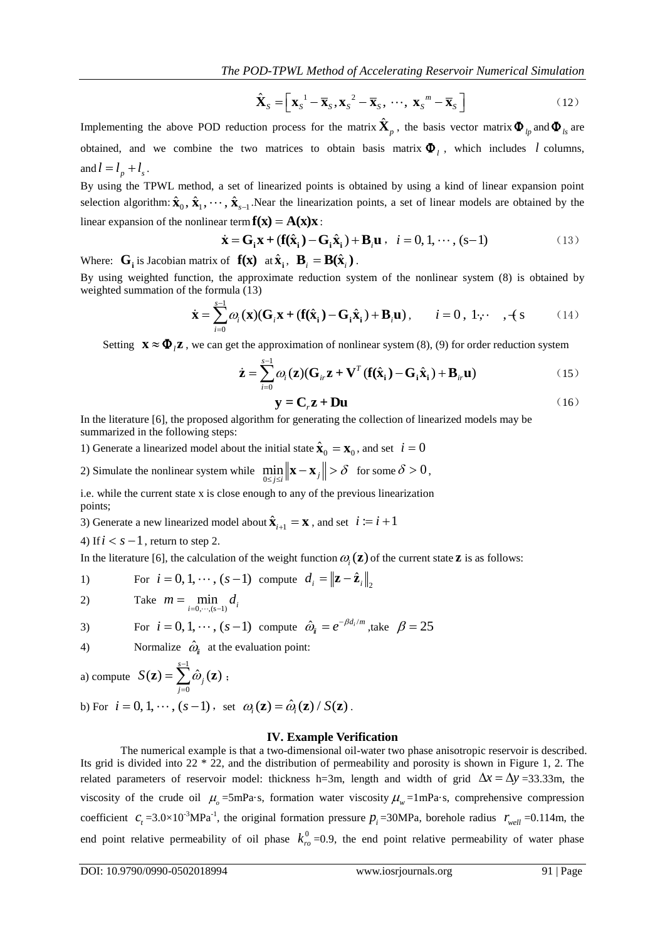$$
\hat{\mathbf{X}}_S = \left[ \mathbf{x}_S^{-1} - \overline{\mathbf{x}}_S, \mathbf{x}_S^{-2} - \overline{\mathbf{x}}_S, \cdots, \mathbf{x}_S^{-m} - \overline{\mathbf{x}}_S \right]
$$
(12)

Implementing the above POD reduction process for the matrix  $\hat{\textbf{X}}_p$ , the basis vector matrix  $\boldsymbol{\Phi}_{lp}$  and  $\boldsymbol{\Phi}_{ls}$  are obtained, and we combine the two matrices to obtain basis matrix  $\Phi$ <sub>l</sub>, which includes l columns, and  $l = l_p + l_s$ .

By using the TPWL method, a set of linearized points is obtained by using a kind of linear expansion point selection algorithm:  $\hat{\mathbf{x}}_0$ ,  $\hat{\mathbf{x}}_1$ ,  $\cdots$ ,  $\hat{\mathbf{x}}_{s-1}$ . Near the linearization points, a set of linear models are obtained by the linear expansion of the nonlinear term  $\mathbf{f}(\mathbf{x}) = \mathbf{A}(\mathbf{x})\mathbf{x}$ :<br>  $\dot{\mathbf{x}} = \mathbf{G}_i \mathbf{x} + (\mathbf{f}(\hat{\mathbf{x}}_i) - \mathbf{G}_i \hat{\mathbf{x}}_i) + \mathbf{B}_i \mathbf{u}$ 

$$
\dot{\mathbf{x}} = \mathbf{G}_i \mathbf{x} + (\mathbf{f}(\hat{\mathbf{x}}_i) - \mathbf{G}_i \hat{\mathbf{x}}_i) + \mathbf{B}_i \mathbf{u}, \quad i = 0, 1, \dots, (s-1)
$$
\n(13)

Where:  $\mathbf{G}_i$  is Jacobian matrix of  $\mathbf{f}(\mathbf{x})$  at  $\hat{\mathbf{x}}_i$ ,  $\mathbf{B}_i = \mathbf{B}(\hat{\mathbf{x}}_i)$ .

By using weighted function, the approximate reduction system of the nonlinear system (8) is obtained by weighted summation of the formula (13)

he formula (13)  
\n
$$
\dot{\mathbf{x}} = \sum_{i=0}^{s-1} \omega_i(\mathbf{x})(\mathbf{G}_i \mathbf{x} + (\mathbf{f}(\hat{\mathbf{x}}_i) - \mathbf{G}_i \hat{\mathbf{x}}_i) + \mathbf{B}_i \mathbf{u}), \qquad i = 0, 1, \cdots, +s
$$
\n(14)

Setting 
$$
\mathbf{x} \approx \mathbf{\Phi}_i \mathbf{z}
$$
, we can get the approximation of nonlinear system (8), (9) for order reduction system  
\n
$$
\dot{\mathbf{z}} = \sum_{i=0}^{s-1} \omega_i(\mathbf{z})(\mathbf{G}_{ir}\mathbf{z} + \mathbf{V}^T(\mathbf{f}(\hat{\mathbf{x}}_i) - \mathbf{G}_i \hat{\mathbf{x}}_i) + \mathbf{B}_{ir}\mathbf{u})
$$
\n(15)

$$
y = Cr z + Du
$$
 (16)

In the literature [6], the proposed algorithm for generating the collection of linearized models may be summarized in the following steps:

1) Generate a linearized model about the initial state  $\hat{\mathbf{x}}_0 = \mathbf{x}_0$ , and set  $i = 0$ 

2) Simulate the nonlinear system while  $\min_{0 \le j \le i} \|\mathbf{x} - \mathbf{x}_j\|$  $\delta$  $\min_{1 \leq j \leq i} \|\mathbf{x} - \mathbf{x}_j\| > \delta$  for some  $\delta > 0$ ,

i.e. while the current state x is close enough to any of the previous linearization points;

3) Generate a new linearized model about  $\hat{\mathbf{x}}_{i+1} = \mathbf{x}$ , and set  $i := i + 1$ 

4) If  $i < s - 1$ , return to step 2.

In the literature [6], the calculation of the weight function  $\omega_i(z)$  of the current state **z** is as follows:

1) For 
$$
i = 0, 1, \dots, (s-1)
$$
 compute  $d_i = ||\mathbf{z} - \hat{\mathbf{z}}_i||_2$ 

$$
2) \t\t Take \t\t m = \min_{i=0,\cdots,(s-1)} d_i
$$

3) For 
$$
i = 0, 1, \dots, (s-1)
$$
 compute  $\hat{\omega}_i = e^{-\beta d_i/m}$ , take  $\beta = 25$ 

4) Normalize  $\hat{\omega}_i$  at the evaluation point:

a) compute 
$$
S(\mathbf{z}) = \sum_{j=0}^{s-1} \hat{\omega}_j(\mathbf{z})
$$
;

b) For 
$$
i = 0, 1, \dots, (s-1)
$$
, set  $\omega_i(\mathbf{z}) = \hat{\omega}_i(\mathbf{z}) / S(\mathbf{z})$ .

#### **IV. Example Verification**

The numerical example is that a two-dimensional oil-water two phase anisotropic reservoir is described. Its grid is divided into 22 \* 22, and the distribution of permeability and porosity is shown in Figure 1, 2. The related parameters of reservoir model: thickness h=3m, length and width of grid  $\Delta x = \Delta y = 33.33$ m, the viscosity of the crude oil  $\mu_o$ =5mPa·s, formation water viscosity  $\mu_w$ =1mPa·s, comprehensive compression coefficient  $c_t = 3.0 \times 10^{-3} \text{MPa}^{-1}$ , the original formation pressure  $p_i = 30 \text{MPa}$ , borehole radius  $r_{well} = 0.114 \text{m}$ , the end point relative permeability of oil phase  $k_{r0}^0$  =0.9, the end point relative permeability of water phase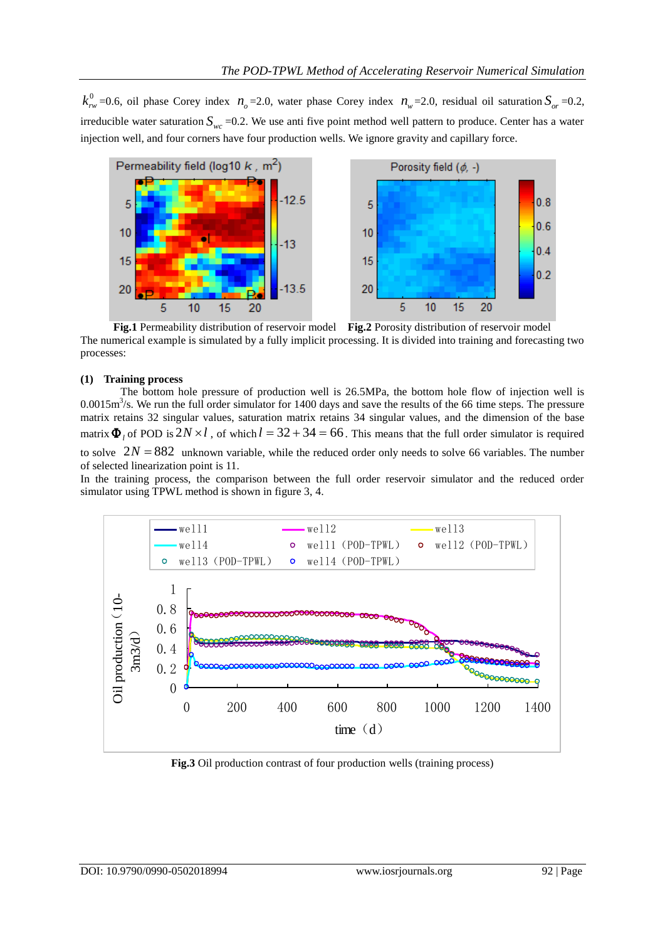$k_{rw}^0$  =0.6, oil phase Corey index  $n_o$  =2.0, water phase Corey index  $n_w$  =2.0, residual oil saturation  $S_{or}$  =0.2, irreducible water saturation  $S_{wc}$  =0.2. We use anti five point method well pattern to produce. Center has a water injection well, and four corners have four production wells. We ignore gravity and capillary force.



**Fig.1** Permeability distribution of reservoir model **Fig.2** Porosity distribution of reservoir model The numerical example is simulated by a fully implicit processing. It is divided into training and forecasting two processes:

# **(1) Training process**

The bottom hole pressure of production well is 26.5MPa, the bottom hole flow of injection well is  $0.0015 \text{m}^3/\text{s}$ . We run the full order simulator for 1400 days and save the results of the 66 time steps. The pressure matrix retains 32 singular values, saturation matrix retains 34 singular values, and the dimension of the base matrix  $\Phi_l$  of POD is  $2N \times l$ , of which  $l = 32 + 34 = 66$ . This means that the full order simulator is required to solve  $2N = 882$  unknown variable, while the reduced order only needs to solve 66 variables. The number of selected linearization point is 11.

In the training process, the comparison between the full order reservoir simulator and the reduced order simulator using TPWL method is shown in figure 3, 4.



**Fig.3** Oil production contrast of four production wells (training process)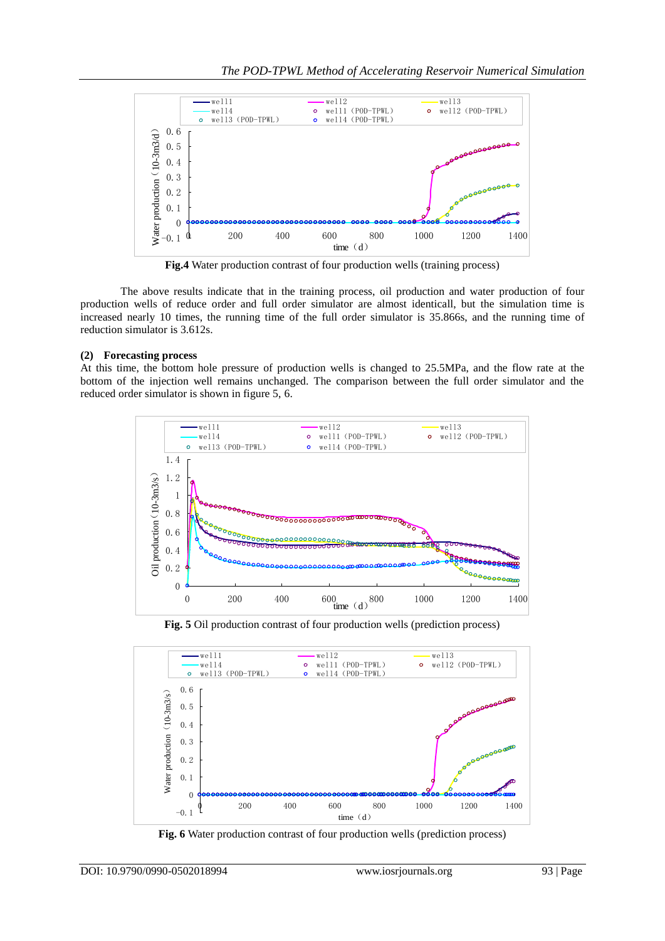

**Fig.4** Water production contrast of four production wells (training process)

The above results indicate that in the training process, oil production and water production of four production wells of reduce order and full order simulator are almost identicall, but the simulation time is increased nearly 10 times, the running time of the full order simulator is 35.866s, and the running time of reduction simulator is 3.612s.

# **(2) Forecasting process**

At this time, the bottom hole pressure of production wells is changed to 25.5MPa, and the flow rate at the bottom of the injection well remains unchanged. The comparison between the full order simulator and the reduced order simulator is shown in figure 5, 6.



**Fig. 5** Oil production contrast of four production wells (prediction process)